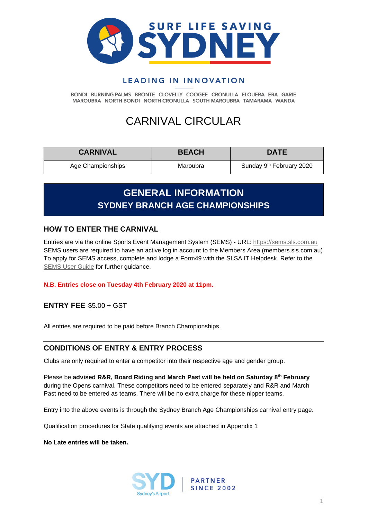

### **LEADING IN INNOVATION**

BONDI BURNING PALMS BRONTE CLOVELLY COOGEE CRONULLA ELOUERA ERA GARIE MAROUBRA NORTH BONDI NORTH CRONULLA SOUTH MAROUBRA TAMARAMA WANDA

### CARNIVAL CIRCULAR

| <b>CARNIVAL</b>   | <b>BEACH</b> | <b>DATE</b>                          |
|-------------------|--------------|--------------------------------------|
| Age Championships | Maroubra     | Sunday 9 <sup>th</sup> February 2020 |

### **GENERAL INFORMATION SYDNEY BRANCH AGE CHAMPIONSHIPS**

### **HOW TO ENTER THE CARNIVAL**

Entries are via the online Sports Event Management System (SEMS) - URL: [https://sems.sls.com.au](https://sems.sls.com.au/) SEMS users are required to have an active log in account to the Members Area (members.sls.com.au) To apply for SEMS access, complete and lodge a Form49 with the SLSA IT Helpdesk. Refer to the [SEMS User Guide](https://www.manula.com/manuals/surf-life-saving-australi/sems-slsa-sports-event-management-system/1/en/topic/overview) for further guidance.

#### **N.B. Entries close on Tuesday 4th February 2020 at 11pm.**

**ENTRY FEE** \$5.00 + GST

All entries are required to be paid before Branch Championships.

#### **CONDITIONS OF ENTRY & ENTRY PROCESS**

Clubs are only required to enter a competitor into their respective age and gender group.

Please be **advised R&R, Board Riding and March Past will be held on Saturday 8 th February** during the Opens carnival. These competitors need to be entered separately and R&R and March Past need to be entered as teams. There will be no extra charge for these nipper teams.

Entry into the above events is through the Sydney Branch Age Championships carnival entry page.

Qualification procedures for State qualifying events are attached in Appendix 1

**No Late entries will be taken.**



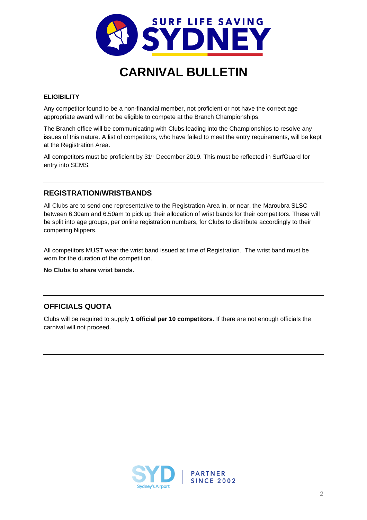

#### **ELIGIBILITY**

Any competitor found to be a non-financial member, not proficient or not have the correct age appropriate award will not be eligible to compete at the Branch Championships.

The Branch office will be communicating with Clubs leading into the Championships to resolve any issues of this nature. A list of competitors, who have failed to meet the entry requirements, will be kept at the Registration Area.

All competitors must be proficient by 31<sup>st</sup> December 2019. This must be reflected in SurfGuard for entry into SEMS.

#### **REGISTRATION/WRISTBANDS**

All Clubs are to send one representative to the Registration Area in, or near, the Maroubra SLSC between 6.30am and 6.50am to pick up their allocation of wrist bands for their competitors. These will be split into age groups, per online registration numbers, for Clubs to distribute accordingly to their competing Nippers.

All competitors MUST wear the wrist band issued at time of Registration. The wrist band must be worn for the duration of the competition.

**No Clubs to share wrist bands.**

#### **OFFICIALS QUOTA**

Clubs will be required to supply **1 official per 10 competitors**. If there are not enough officials the carnival will not proceed.

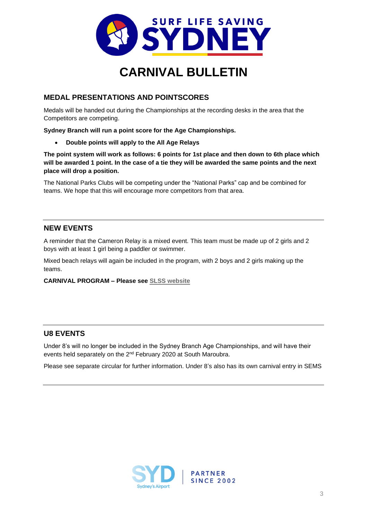

### **MEDAL PRESENTATIONS AND POINTSCORES**

Medals will be handed out during the Championships at the recording desks in the area that the Competitors are competing.

**Sydney Branch will run a point score for the Age Championships.**

• **Double points will apply to the All Age Relays**

**The point system will work as follows: 6 points for 1st place and then down to 6th place which will be awarded 1 point. In the case of a tie they will be awarded the same points and the next place will drop a position.** 

The National Parks Clubs will be competing under the "National Parks" cap and be combined for teams. We hope that this will encourage more competitors from that area.

### **NEW EVENTS**

A reminder that the Cameron Relay is a mixed event. This team must be made up of 2 girls and 2 boys with at least 1 girl being a paddler or swimmer.

Mixed beach relays will again be included in the program, with 2 boys and 2 girls making up the teams.

#### **CARNIVAL PROGRAM – Please see [SLSS website](http://surflifesavingsydney.com.au/downloads_archive/flyers-and-programs/)**

#### **U8 EVENTS**

Under 8's will no longer be included in the Sydney Branch Age Championships, and will have their events held separately on the 2<sup>nd</sup> February 2020 at South Maroubra.

Please see separate circular for further information. Under 8's also has its own carnival entry in SEMS

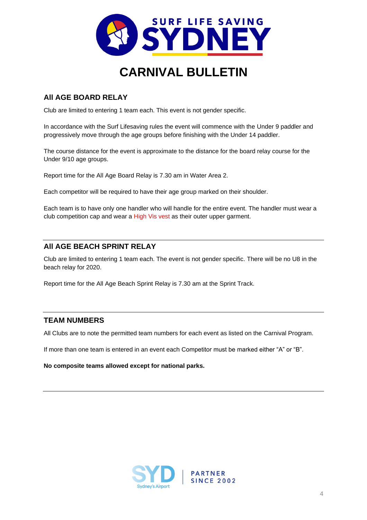

### **All AGE BOARD RELAY**

Club are limited to entering 1 team each. This event is not gender specific.

In accordance with the Surf Lifesaving rules the event will commence with the Under 9 paddler and progressively move through the age groups before finishing with the Under 14 paddler.

The course distance for the event is approximate to the distance for the board relay course for the Under 9/10 age groups.

Report time for the All Age Board Relay is 7.30 am in Water Area 2.

Each competitor will be required to have their age group marked on their shoulder.

Each team is to have only one handler who will handle for the entire event. The handler must wear a club competition cap and wear a High Vis vest as their outer upper garment.

### **All AGE BEACH SPRINT RELAY**

Club are limited to entering 1 team each. The event is not gender specific. There will be no U8 in the beach relay for 2020.

Report time for the All Age Beach Sprint Relay is 7.30 am at the Sprint Track.

### **TEAM NUMBERS**

All Clubs are to note the permitted team numbers for each event as listed on the Carnival Program.

If more than one team is entered in an event each Competitor must be marked either "A" or "B".

**No composite teams allowed except for national parks.**

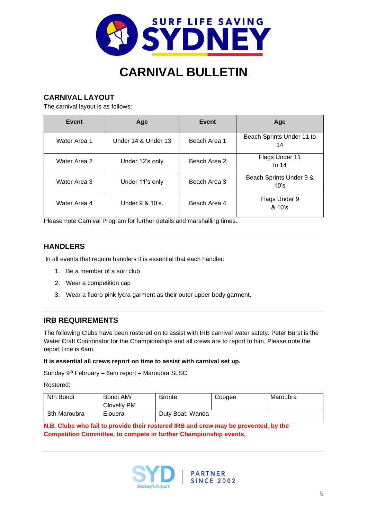

### **CARNIVAL LAYOUT**

The carnival layout is as follows:

| Event        | Age                 | Event        | Age                             |
|--------------|---------------------|--------------|---------------------------------|
| Water Area 1 | Under 14 & Under 13 | Beach Area 1 | Beach Sprints Under 11 to<br>14 |
| Water Area 2 | Under 12's only     | Beach Area 2 | Flags Under 11<br>to $14$       |
| Water Area 3 | Under 11's only     | Beach Area 3 | Beach Sprints Under 9 &<br>10's |
| Water Area 4 | Under 9 & 10's.     | Beach Area 4 | Flags Under 9<br>$8.10$ 's      |

Please note Carnival Program for further details and marshalling times.

### **HANDLERS**

In all events that require handlers it is essential that each handler:

- 1. Be a member of a surf club
- 2. Wear a competition cap
- 3. Wear a fluoro pink lycra garment as their outer upper body garment.

### **IRB REQUIREMENTS**

The following Clubs have been rostered on to assist with IRB carnival water safety. Peter Burst is the Water Craft Coordinator for the Championships and all crews are to report to him. Please note the report time is 6am.

#### **It is essential all crews report on time to assist with carnival set up.**

Sunday 9<sup>th</sup> February – 6am report – Maroubra SLSC

Rostered:

| Nth Bondi    | Bondi AM/<br>Clovelly PM | <b>Bronte</b>    | Coogee | Maroubra |
|--------------|--------------------------|------------------|--------|----------|
| Sth Maroubra | Elouera                  | Duty Boat: Wanda |        |          |

**N.B. Clubs who fail to provide their rostered IRB and crew may be prevented, by the Competition Committee, to compete in further Championship events.**

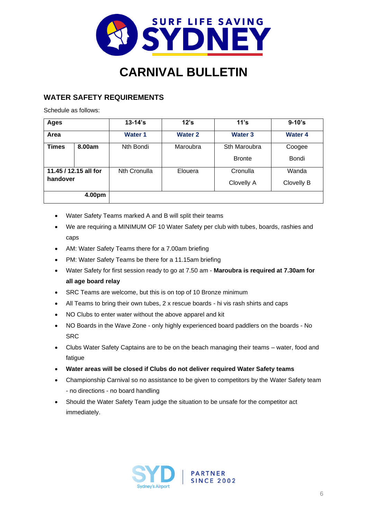

### **WATER SAFETY REQUIREMENTS**

Schedule as follows:

| <b>Ages</b>  |                       | $13 - 14$ 's        | 12's           | 11's           | $9 - 10's$     |
|--------------|-----------------------|---------------------|----------------|----------------|----------------|
| Area         |                       | <b>Water 1</b>      | <b>Water 2</b> | <b>Water 3</b> | <b>Water 4</b> |
| <b>Times</b> | 8.00am                | Nth Bondi           | Maroubra       | Sth Maroubra   | Coogee         |
|              |                       |                     |                | <b>Bronte</b>  | Bondi          |
|              | 11.45 / 12.15 all for | <b>Nth Cronulla</b> | Elouera        | Cronulla       | Wanda          |
| handover     |                       |                     |                | Clovelly A     | Clovelly B     |
|              | 4.00pm                |                     |                |                |                |

- Water Safety Teams marked A and B will split their teams
- We are requiring a MINIMUM OF 10 Water Safety per club with tubes, boards, rashies and caps
- AM: Water Safety Teams there for a 7.00am briefing
- PM: Water Safety Teams be there for a 11.15am briefing
- Water Safety for first session ready to go at 7.50 am **Maroubra is required at 7.30am for all age board relay**
- SRC Teams are welcome, but this is on top of 10 Bronze minimum
- All Teams to bring their own tubes, 2 x rescue boards hi vis rash shirts and caps
- NO Clubs to enter water without the above apparel and kit
- NO Boards in the Wave Zone only highly experienced board paddlers on the boards No **SRC**
- Clubs Water Safety Captains are to be on the beach managing their teams water, food and fatigue
- **Water areas will be closed if Clubs do not deliver required Water Safety teams**
- Championship Carnival so no assistance to be given to competitors by the Water Safety team - no directions - no board handling

**PARTNER SINCE 2002** 

• Should the Water Safety Team judge the situation to be unsafe for the competitor act immediately.

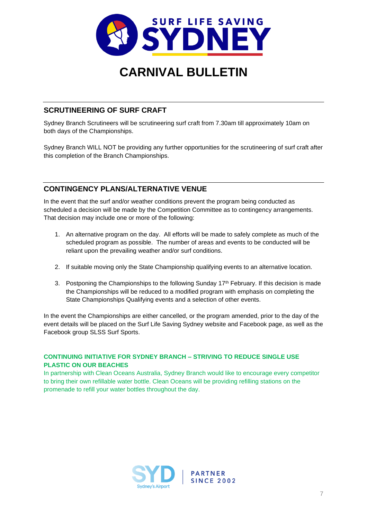

### **SCRUTINEERING OF SURF CRAFT**

Sydney Branch Scrutineers will be scrutineering surf craft from 7.30am till approximately 10am on both days of the Championships.

Sydney Branch WILL NOT be providing any further opportunities for the scrutineering of surf craft after this completion of the Branch Championships.

### **CONTINGENCY PLANS/ALTERNATIVE VENUE**

In the event that the surf and/or weather conditions prevent the program being conducted as scheduled a decision will be made by the Competition Committee as to contingency arrangements. That decision may include one or more of the following:

- 1. An alternative program on the day. All efforts will be made to safely complete as much of the scheduled program as possible. The number of areas and events to be conducted will be reliant upon the prevailing weather and/or surf conditions.
- 2. If suitable moving only the State Championship qualifying events to an alternative location.
- 3. Postponing the Championships to the following Sunday  $17<sup>th</sup>$  February. If this decision is made the Championships will be reduced to a modified program with emphasis on completing the State Championships Qualifying events and a selection of other events.

In the event the Championships are either cancelled, or the program amended, prior to the day of the event details will be placed on the Surf Life Saving Sydney website and Facebook page, as well as the Facebook group SLSS Surf Sports.

#### **CONTINUING INITIATIVE FOR SYDNEY BRANCH – STRIVING TO REDUCE SINGLE USE PLASTIC ON OUR BEACHES**

In partnership with Clean Oceans Australia, Sydney Branch would like to encourage every competitor to bring their own refillable water bottle. Clean Oceans will be providing refilling stations on the promenade to refill your water bottles throughout the day.

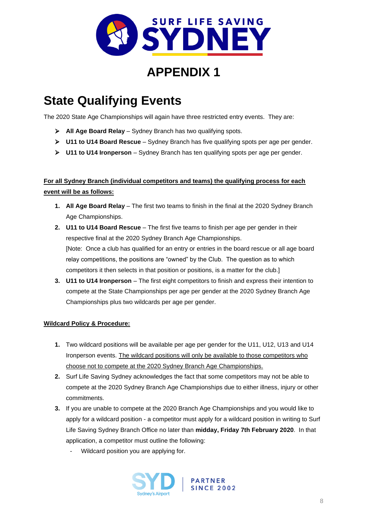

### **APPENDIX 1**

# **State Qualifying Events**

The 2020 State Age Championships will again have three restricted entry events. They are:

- ➢ **All Age Board Relay** Sydney Branch has two qualifying spots.
- ➢ **U11 to U14 Board Rescue** Sydney Branch has five qualifying spots per age per gender.
- ➢ **U11 to U14 Ironperson** Sydney Branch has ten qualifying spots per age per gender.

### **For all Sydney Branch (individual competitors and teams) the qualifying process for each event will be as follows:**

- **1. All Age Board Relay** The first two teams to finish in the final at the 2020 Sydney Branch Age Championships.
- **2. U11 to U14 Board Rescue** The first five teams to finish per age per gender in their respective final at the 2020 Sydney Branch Age Championships. [Note: Once a club has qualified for an entry or entries in the board rescue or all age board relay competitions, the positions are "owned" by the Club. The question as to which competitors it then selects in that position or positions, is a matter for the club.]
- **3. U11 to U14 Ironperson** The first eight competitors to finish and express their intention to compete at the State Championships per age per gender at the 2020 Sydney Branch Age Championships plus two wildcards per age per gender.

#### **Wildcard Policy & Procedure:**

- **1.** Two wildcard positions will be available per age per gender for the U11, U12, U13 and U14 Ironperson events. The wildcard positions will only be available to those competitors who choose not to compete at the 2020 Sydney Branch Age Championships.
- **2.** Surf Life Saving Sydney acknowledges the fact that some competitors may not be able to compete at the 2020 Sydney Branch Age Championships due to either illness, injury or other commitments.
- **3.** If you are unable to compete at the 2020 Branch Age Championships and you would like to apply for a wildcard position - a competitor must apply for a wildcard position in writing to Surf Life Saving Sydney Branch Office no later than **midday, Friday 7th February 2020**. In that application, a competitor must outline the following:
	- Wildcard position you are applying for.



**PARTNER SINCE 2002**